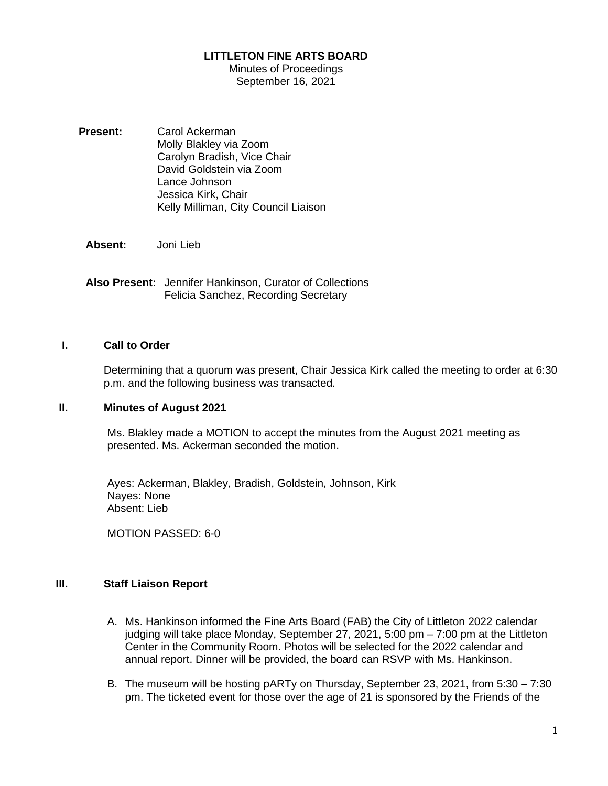## **LITTLETON FINE ARTS BOARD**

Minutes of Proceedings September 16, 2021

**Present:** Carol Ackerman Molly Blakley via Zoom Carolyn Bradish, Vice Chair David Goldstein via Zoom Lance Johnson Jessica Kirk, Chair Kelly Milliman, City Council Liaison

**Absent:** Joni Lieb

**Also Present:** Jennifer Hankinson, Curator of Collections Felicia Sanchez, Recording Secretary

## **I. Call to Order**

Determining that a quorum was present, Chair Jessica Kirk called the meeting to order at 6:30 p.m. and the following business was transacted.

#### **II. Minutes of August 2021**

Ms. Blakley made a MOTION to accept the minutes from the August 2021 meeting as presented. Ms. Ackerman seconded the motion.

Ayes: Ackerman, Blakley, Bradish, Goldstein, Johnson, Kirk Nayes: None Absent: Lieb

MOTION PASSED: 6-0

# **III. Staff Liaison Report**

- A. Ms. Hankinson informed the Fine Arts Board (FAB) the City of Littleton 2022 calendar judging will take place Monday, September 27, 2021, 5:00 pm – 7:00 pm at the Littleton Center in the Community Room. Photos will be selected for the 2022 calendar and annual report. Dinner will be provided, the board can RSVP with Ms. Hankinson.
- B. The museum will be hosting pARTy on Thursday, September 23, 2021, from 5:30 7:30 pm. The ticketed event for those over the age of 21 is sponsored by the Friends of the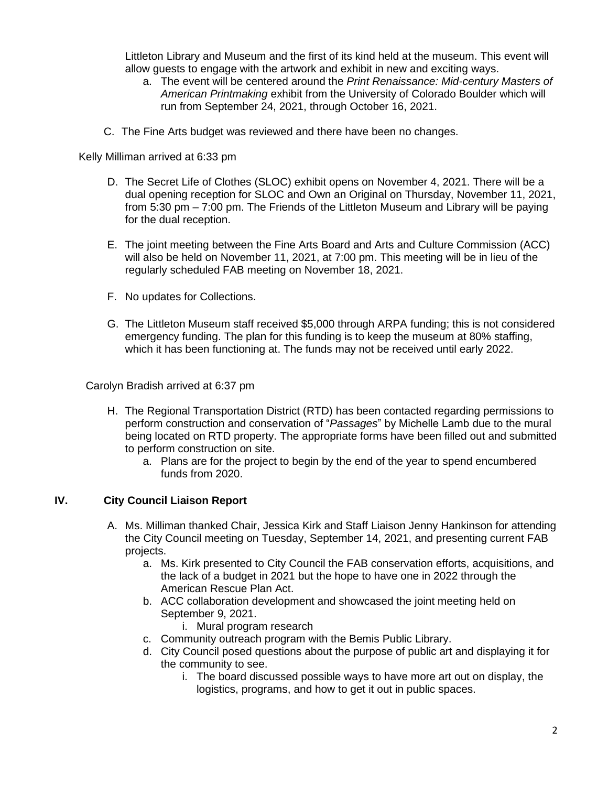Littleton Library and Museum and the first of its kind held at the museum. This event will allow guests to engage with the artwork and exhibit in new and exciting ways.

- a. The event will be centered around the *Print Renaissance: Mid-century Masters of American Printmaking* exhibit from the University of Colorado Boulder which will run from September 24, 2021, through October 16, 2021.
- C. The Fine Arts budget was reviewed and there have been no changes.

Kelly Milliman arrived at 6:33 pm

- D. The Secret Life of Clothes (SLOC) exhibit opens on November 4, 2021. There will be a dual opening reception for SLOC and Own an Original on Thursday, November 11, 2021, from 5:30 pm – 7:00 pm. The Friends of the Littleton Museum and Library will be paying for the dual reception.
- E. The joint meeting between the Fine Arts Board and Arts and Culture Commission (ACC) will also be held on November 11, 2021, at 7:00 pm. This meeting will be in lieu of the regularly scheduled FAB meeting on November 18, 2021.
- F. No updates for Collections.
- G. The Littleton Museum staff received \$5,000 through ARPA funding; this is not considered emergency funding. The plan for this funding is to keep the museum at 80% staffing, which it has been functioning at. The funds may not be received until early 2022.

Carolyn Bradish arrived at 6:37 pm

- H. The Regional Transportation District (RTD) has been contacted regarding permissions to perform construction and conservation of "*Passages*" by Michelle Lamb due to the mural being located on RTD property. The appropriate forms have been filled out and submitted to perform construction on site.
	- a. Plans are for the project to begin by the end of the year to spend encumbered funds from 2020.

## **IV. City Council Liaison Report**

- A. Ms. Milliman thanked Chair, Jessica Kirk and Staff Liaison Jenny Hankinson for attending the City Council meeting on Tuesday, September 14, 2021, and presenting current FAB projects.
	- a. Ms. Kirk presented to City Council the FAB conservation efforts, acquisitions, and the lack of a budget in 2021 but the hope to have one in 2022 through the American Rescue Plan Act.
	- b. ACC collaboration development and showcased the joint meeting held on September 9, 2021.
		- i. Mural program research
	- c. Community outreach program with the Bemis Public Library.
	- d. City Council posed questions about the purpose of public art and displaying it for the community to see.
		- i. The board discussed possible ways to have more art out on display, the logistics, programs, and how to get it out in public spaces.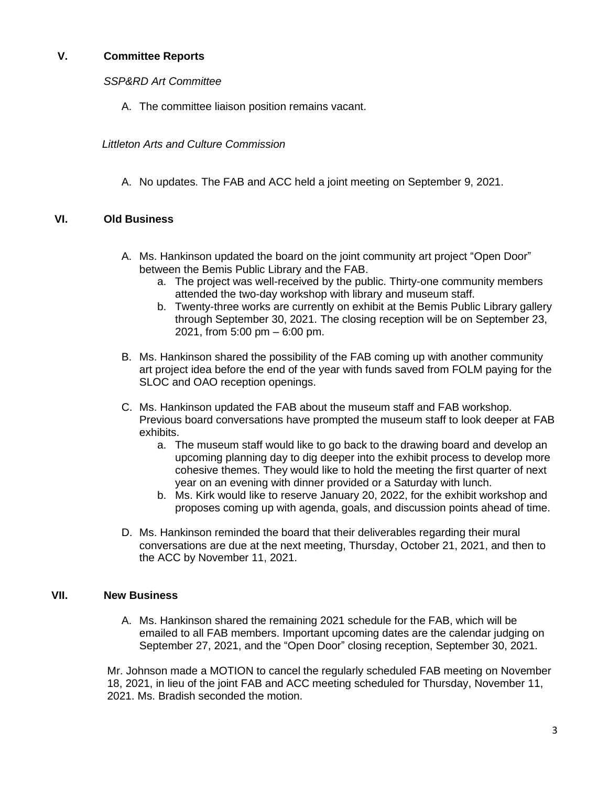# **V. Committee Reports**

*SSP&RD Art Committee*

A. The committee liaison position remains vacant.

 *Littleton Arts and Culture Commission*

A. No updates. The FAB and ACC held a joint meeting on September 9, 2021.

## **VI. Old Business**

- A. Ms. Hankinson updated the board on the joint community art project "Open Door" between the Bemis Public Library and the FAB.
	- a. The project was well-received by the public. Thirty-one community members attended the two-day workshop with library and museum staff.
	- b. Twenty-three works are currently on exhibit at the Bemis Public Library gallery through September 30, 2021. The closing reception will be on September 23, 2021, from 5:00 pm – 6:00 pm.
- B. Ms. Hankinson shared the possibility of the FAB coming up with another community art project idea before the end of the year with funds saved from FOLM paying for the SLOC and OAO reception openings.
- C. Ms. Hankinson updated the FAB about the museum staff and FAB workshop. Previous board conversations have prompted the museum staff to look deeper at FAB exhibits.
	- a. The museum staff would like to go back to the drawing board and develop an upcoming planning day to dig deeper into the exhibit process to develop more cohesive themes. They would like to hold the meeting the first quarter of next year on an evening with dinner provided or a Saturday with lunch.
	- b. Ms. Kirk would like to reserve January 20, 2022, for the exhibit workshop and proposes coming up with agenda, goals, and discussion points ahead of time.
- D. Ms. Hankinson reminded the board that their deliverables regarding their mural conversations are due at the next meeting, Thursday, October 21, 2021, and then to the ACC by November 11, 2021.

## **VII. New Business**

A. Ms. Hankinson shared the remaining 2021 schedule for the FAB, which will be emailed to all FAB members. Important upcoming dates are the calendar judging on September 27, 2021, and the "Open Door" closing reception, September 30, 2021.

Mr. Johnson made a MOTION to cancel the regularly scheduled FAB meeting on November 18, 2021, in lieu of the joint FAB and ACC meeting scheduled for Thursday, November 11, 2021. Ms. Bradish seconded the motion.